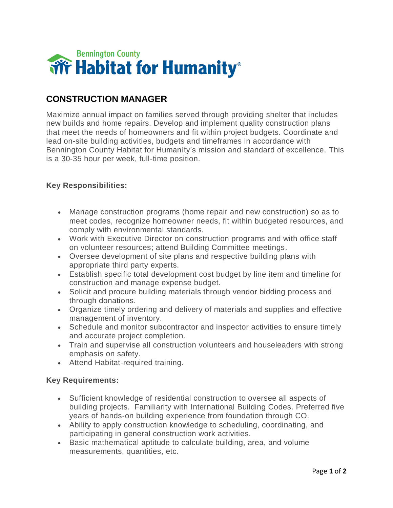

## **CONSTRUCTION MANAGER**

Maximize annual impact on families served through providing shelter that includes new builds and home repairs. Develop and implement quality construction plans that meet the needs of homeowners and fit within project budgets. Coordinate and lead on-site building activities, budgets and timeframes in accordance with Bennington County Habitat for Humanity's mission and standard of excellence. This is a 30-35 hour per week, full-time position.

## **Key Responsibilities:**

- Manage construction programs (home repair and new construction) so as to meet codes, recognize homeowner needs, fit within budgeted resources, and comply with environmental standards.
- Work with Executive Director on construction programs and with office staff on volunteer resources; attend Building Committee meetings.
- Oversee development of site plans and respective building plans with appropriate third party experts.
- Establish specific total development cost budget by line item and timeline for construction and manage expense budget.
- Solicit and procure building materials through vendor bidding process and through donations.
- Organize timely ordering and delivery of materials and supplies and effective management of inventory.
- Schedule and monitor subcontractor and inspector activities to ensure timely and accurate project completion.
- Train and supervise all construction volunteers and houseleaders with strong emphasis on safety.
- Attend Habitat-required training.

## **Key Requirements:**

- Sufficient knowledge of residential construction to oversee all aspects of building projects. Familiarity with International Building Codes. Preferred five years of hands-on building experience from foundation through CO.
- Ability to apply construction knowledge to scheduling, coordinating, and participating in general construction work activities.
- Basic mathematical aptitude to calculate building, area, and volume measurements, quantities, etc.